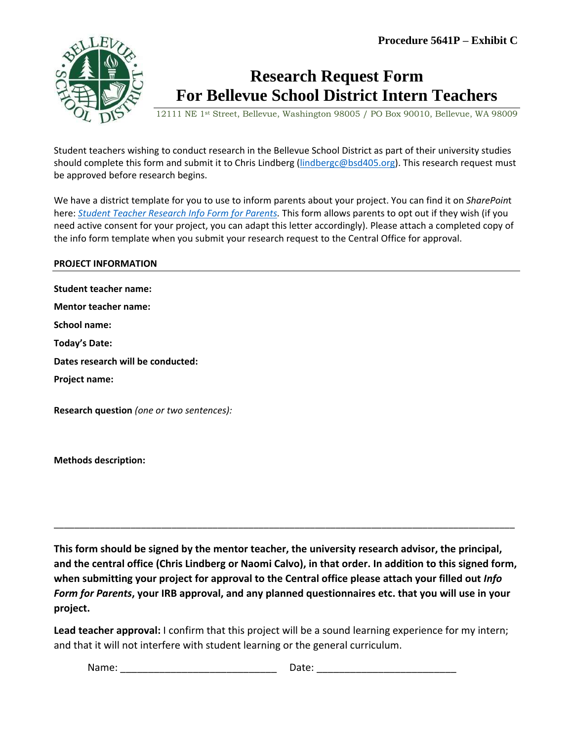

## **Research Request Form For Bellevue School District Intern Teachers**

12111 NE 1st Street, Bellevue, Washington 98005 / PO Box 90010, Bellevue, WA 98009

Student teachers wishing to conduct research in the Bellevue School District as part of their university studies should complete this form and submit it to Chris Lindberg [\(lindbergc@bsd405.org\)](mailto:lindbergc@bsd405.org). This research request must be approved before research begins.

We have a district template for you to use to inform parents about your project. You can find it on *SharePoin*t here: *[Student Teacher Research Info Form for Parents.](https://bsd405.sharepoint.com/sites/dataandassessments/DataCentral/Shared%20Documents/Research%20Application%20Info%20for%20Student%20Teachers/Student%20Teacher%20Research%20Info%20Form%20for%20Parents.docx)* This form allows parents to opt out if they wish (if you need active consent for your project, you can adapt this letter accordingly). Please attach a completed copy of the info form template when you submit your research request to the Central Office for approval.

## **PROJECT INFORMATION**

**Student teacher name: Mentor teacher name: School name: Today's Date: Dates research will be conducted: Project name: Research question** *(one or two sentences):*

**Methods description:** 

**This form should be signed by the mentor teacher, the university research advisor, the principal, and the central office (Chris Lindberg or Naomi Calvo), in that order. In addition to this signed form, when submitting your project for approval to the Central office please attach your filled out** *Info Form for Parents***, your IRB approval, and any planned questionnaires etc. that you will use in your project.**

\_\_\_\_\_\_\_\_\_\_\_\_\_\_\_\_\_\_\_\_\_\_\_\_\_\_\_\_\_\_\_\_\_\_\_\_\_\_\_\_\_\_\_\_\_\_\_\_\_\_\_\_\_\_\_\_\_\_\_\_\_\_\_\_\_\_\_\_\_\_\_\_\_\_\_\_\_\_\_\_\_\_\_\_\_\_\_\_\_\_

**Lead teacher approval:** I confirm that this project will be a sound learning experience for my intern; and that it will not interfere with student learning or the general curriculum.

Name: \_\_\_\_\_\_\_\_\_\_\_\_\_\_\_\_\_\_\_\_\_\_\_\_\_\_\_\_ Date: \_\_\_\_\_\_\_\_\_\_\_\_\_\_\_\_\_\_\_\_\_\_\_\_\_